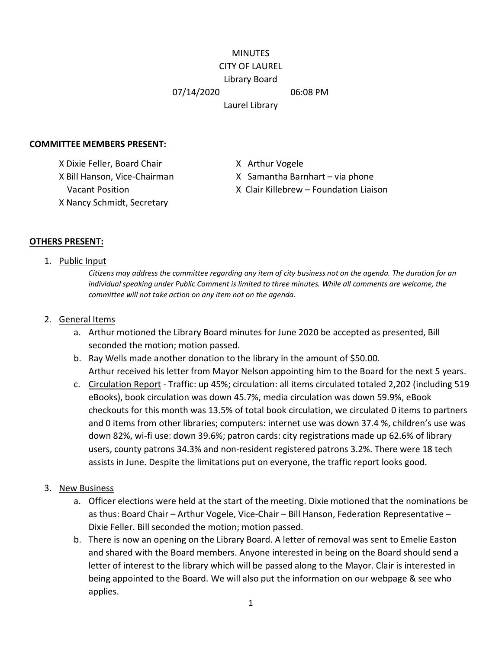# MINUTES CITY OF LAUREL Library Board 07/14/2020 06:08 PM Laurel Library

#### **COMMITTEE MEMBERS PRESENT:**

X Dixie Feller, Board Chair X Arthur Vogele X Nancy Schmidt, Secretary

X Bill Hanson, Vice-Chairman X Samantha Barnhart – via phone

Vacant Position X Clair Killebrew – Foundation Liaison

### **OTHERS PRESENT:**

#### 1. Public Input

*Citizens may address the committee regarding any item of city business not on the agenda. The duration for an individual speaking under Public Comment is limited to three minutes. While all comments are welcome, the committee will not take action on any item not on the agenda.*

#### 2. General Items

- a. Arthur motioned the Library Board minutes for June 2020 be accepted as presented, Bill seconded the motion; motion passed.
- b. Ray Wells made another donation to the library in the amount of \$50.00. Arthur received his letter from Mayor Nelson appointing him to the Board for the next 5 years.
- c. Circulation Report Traffic: up 45%; circulation: all items circulated totaled 2,202 (including 519 eBooks), book circulation was down 45.7%, media circulation was down 59.9%, eBook checkouts for this month was 13.5% of total book circulation, we circulated 0 items to partners and 0 items from other libraries; computers: internet use was down 37.4 %, children's use was down 82%, wi-fi use: down 39.6%; patron cards: city registrations made up 62.6% of library users, county patrons 34.3% and non-resident registered patrons 3.2%. There were 18 tech assists in June. Despite the limitations put on everyone, the traffic report looks good.

#### 3. New Business

- a. Officer elections were held at the start of the meeting. Dixie motioned that the nominations be as thus: Board Chair – Arthur Vogele, Vice-Chair – Bill Hanson, Federation Representative – Dixie Feller. Bill seconded the motion; motion passed.
- b. There is now an opening on the Library Board. A letter of removal was sent to Emelie Easton and shared with the Board members. Anyone interested in being on the Board should send a letter of interest to the library which will be passed along to the Mayor. Clair is interested in being appointed to the Board. We will also put the information on our webpage & see who applies.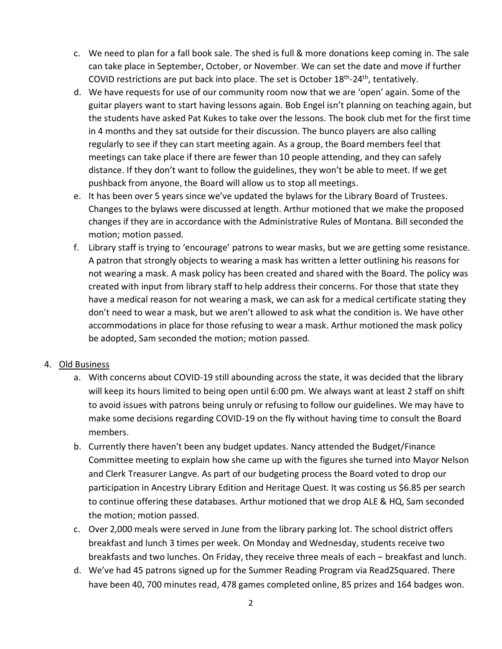- c. We need to plan for a fall book sale. The shed is full & more donations keep coming in. The sale can take place in September, October, or November. We can set the date and move if further COVID restrictions are put back into place. The set is October  $18<sup>th</sup> - 24<sup>th</sup>$ , tentatively.
- d. We have requests for use of our community room now that we are 'open' again. Some of the guitar players want to start having lessons again. Bob Engel isn't planning on teaching again, but the students have asked Pat Kukes to take over the lessons. The book club met for the first time in 4 months and they sat outside for their discussion. The bunco players are also calling regularly to see if they can start meeting again. As a group, the Board members feel that meetings can take place if there are fewer than 10 people attending, and they can safely distance. If they don't want to follow the guidelines, they won't be able to meet. If we get pushback from anyone, the Board will allow us to stop all meetings.
- e. It has been over 5 years since we've updated the bylaws for the Library Board of Trustees. Changes to the bylaws were discussed at length. Arthur motioned that we make the proposed changes if they are in accordance with the Administrative Rules of Montana. Bill seconded the motion; motion passed.
- f. Library staff is trying to 'encourage' patrons to wear masks, but we are getting some resistance. A patron that strongly objects to wearing a mask has written a letter outlining his reasons for not wearing a mask. A mask policy has been created and shared with the Board. The policy was created with input from library staff to help address their concerns. For those that state they have a medical reason for not wearing a mask, we can ask for a medical certificate stating they don't need to wear a mask, but we aren't allowed to ask what the condition is. We have other accommodations in place for those refusing to wear a mask. Arthur motioned the mask policy be adopted, Sam seconded the motion; motion passed.

## 4. Old Business

- a. With concerns about COVID-19 still abounding across the state, it was decided that the library will keep its hours limited to being open until 6:00 pm. We always want at least 2 staff on shift to avoid issues with patrons being unruly or refusing to follow our guidelines. We may have to make some decisions regarding COVID-19 on the fly without having time to consult the Board members.
- b. Currently there haven't been any budget updates. Nancy attended the Budget/Finance Committee meeting to explain how she came up with the figures she turned into Mayor Nelson and Clerk Treasurer Langve. As part of our budgeting process the Board voted to drop our participation in Ancestry Library Edition and Heritage Quest. It was costing us \$6.85 per search to continue offering these databases. Arthur motioned that we drop ALE & HQ, Sam seconded the motion; motion passed.
- c. Over 2,000 meals were served in June from the library parking lot. The school district offers breakfast and lunch 3 times per week. On Monday and Wednesday, students receive two breakfasts and two lunches. On Friday, they receive three meals of each – breakfast and lunch.
- d. We've had 45 patrons signed up for the Summer Reading Program via Read2Squared. There have been 40, 700 minutes read, 478 games completed online, 85 prizes and 164 badges won.